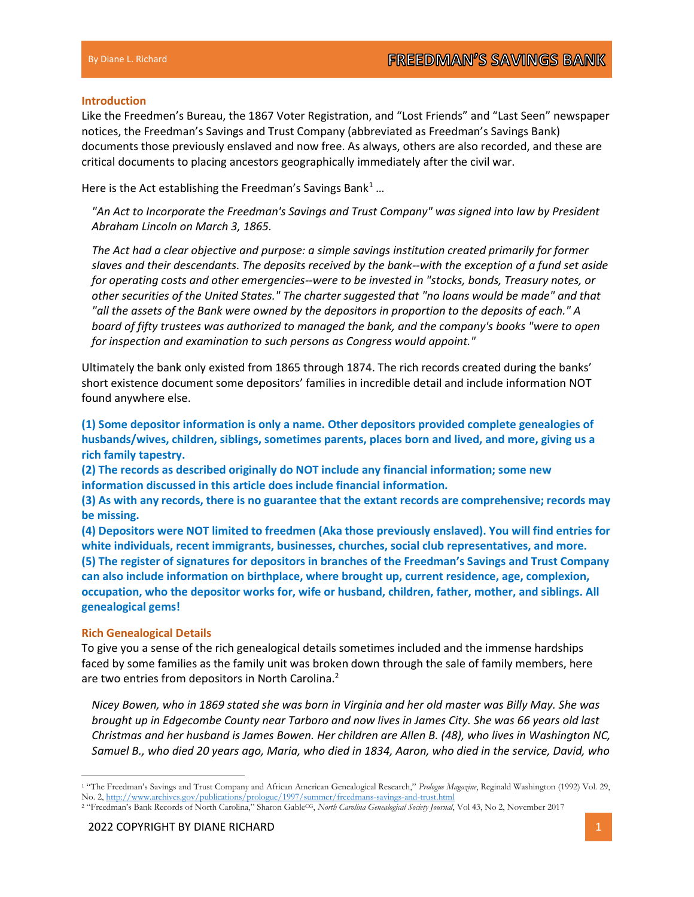## Introduction

Like the Freedmen's Bureau, the 1867 Voter Registration, and "Lost Friends" and "Last Seen" newspaper notices, the Freedman's Savings and Trust Company (abbreviated as Freedman's Savings Bank) documents those previously enslaved and now free. As always, others are also recorded, and these are critical documents to placing ancestors geographically immediately after the civil war.

Here is the Act establishing the Freedman's Savings Bank<sup>1</sup>...

"An Act to Incorporate the Freedman's Savings and Trust Company" was signed into law by President Abraham Lincoln on March 3, 1865.

The Act had a clear objective and purpose: a simple savings institution created primarily for former slaves and their descendants. The deposits received by the bank--with the exception of a fund set aside for operating costs and other emergencies--were to be invested in "stocks, bonds, Treasury notes, or other securities of the United States." The charter suggested that "no loans would be made" and that "all the assets of the Bank were owned by the depositors in proportion to the deposits of each." A board of fifty trustees was authorized to managed the bank, and the company's books "were to open for inspection and examination to such persons as Congress would appoint."

Ultimately the bank only existed from 1865 through 1874. The rich records created during the banks' short existence document some depositors' families in incredible detail and include information NOT found anywhere else.

(1) Some depositor information is only a name. Other depositors provided complete genealogies of husbands/wives, children, siblings, sometimes parents, places born and lived, and more, giving us a rich family tapestry.

(2) The records as described originally do NOT include any financial information; some new information discussed in this article does include financial information.

(3) As with any records, there is no guarantee that the extant records are comprehensive; records may be missing.

(4) Depositors were NOT limited to freedmen (Aka those previously enslaved). You will find entries for white individuals, recent immigrants, businesses, churches, social club representatives, and more. (5) The register of signatures for depositors in branches of the Freedman's Savings and Trust Company can also include information on birthplace, where brought up, current residence, age, complexion, occupation, who the depositor works for, wife or husband, children, father, mother, and siblings. All genealogical gems!

## Rich Genealogical Details

To give you a sense of the rich genealogical details sometimes included and the immense hardships faced by some families as the family unit was broken down through the sale of family members, here are two entries from depositors in North Carolina.<sup>2</sup>

Nicey Bowen, who in 1869 stated she was born in Virginia and her old master was Billy May. She was brought up in Edgecombe County near Tarboro and now lives in James City. She was 66 years old last Christmas and her husband is James Bowen. Her children are Allen B. (48), who lives in Washington NC, Samuel B., who died 20 years ago, Maria, who died in 1834, Aaron, who died in the service, David, who

<sup>&</sup>lt;sup>1</sup> "The Freedman's Savings and Trust Company and African American Genealogical Research," Prologue Magazine, Reginald Washington (1992) Vol. 29, No. 2, http://www.archives.gov/publications/prologue/1997/summer/freedmans-savings-and-trust.html

<sup>&</sup>lt;sup>2</sup> "Freedman's Bank Records of North Carolina," Sharon Gable<sup>CG</sup>, North Carolina Genealogical Society Journal, Vol 43, No 2, November 2017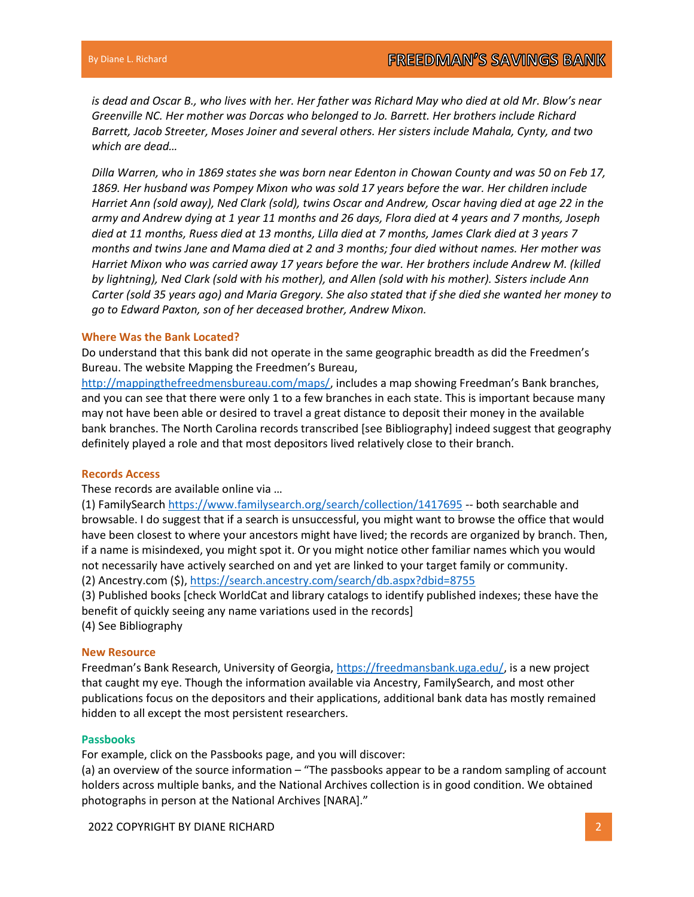is dead and Oscar B., who lives with her. Her father was Richard May who died at old Mr. Blow's near Greenville NC. Her mother was Dorcas who belonged to Jo. Barrett. Her brothers include Richard Barrett, Jacob Streeter, Moses Joiner and several others. Her sisters include Mahala, Cynty, and two which are dead…

Dilla Warren, who in 1869 states she was born near Edenton in Chowan County and was 50 on Feb 17, 1869. Her husband was Pompey Mixon who was sold 17 years before the war. Her children include Harriet Ann (sold away), Ned Clark (sold), twins Oscar and Andrew, Oscar having died at age 22 in the army and Andrew dying at 1 year 11 months and 26 days, Flora died at 4 years and 7 months, Joseph died at 11 months, Ruess died at 13 months, Lilla died at 7 months, James Clark died at 3 years 7 months and twins Jane and Mama died at 2 and 3 months; four died without names. Her mother was Harriet Mixon who was carried away 17 years before the war. Her brothers include Andrew M. (killed by lightning), Ned Clark (sold with his mother), and Allen (sold with his mother). Sisters include Ann Carter (sold 35 years ago) and Maria Gregory. She also stated that if she died she wanted her money to go to Edward Paxton, son of her deceased brother, Andrew Mixon.

#### Where Was the Bank Located?

Do understand that this bank did not operate in the same geographic breadth as did the Freedmen's Bureau. The website Mapping the Freedmen's Bureau,

http://mappingthefreedmensbureau.com/maps/, includes a map showing Freedman's Bank branches, and you can see that there were only 1 to a few branches in each state. This is important because many may not have been able or desired to travel a great distance to deposit their money in the available bank branches. The North Carolina records transcribed [see Bibliography] indeed suggest that geography definitely played a role and that most depositors lived relatively close to their branch.

#### Records Access

These records are available online via …

(1) FamilySearch https://www.familysearch.org/search/collection/1417695 -- both searchable and browsable. I do suggest that if a search is unsuccessful, you might want to browse the office that would have been closest to where your ancestors might have lived; the records are organized by branch. Then, if a name is misindexed, you might spot it. Or you might notice other familiar names which you would not necessarily have actively searched on and yet are linked to your target family or community. (2) Ancestry.com (\$), https://search.ancestry.com/search/db.aspx?dbid=8755

(3) Published books [check WorldCat and library catalogs to identify published indexes; these have the benefit of quickly seeing any name variations used in the records]

(4) See Bibliography

## New Resource

Freedman's Bank Research, University of Georgia, https://freedmansbank.uga.edu/, is a new project that caught my eye. Though the information available via Ancestry, FamilySearch, and most other publications focus on the depositors and their applications, additional bank data has mostly remained hidden to all except the most persistent researchers.

#### Passbooks

For example, click on the Passbooks page, and you will discover:

(a) an overview of the source information – "The passbooks appear to be a random sampling of account holders across multiple banks, and the National Archives collection is in good condition. We obtained photographs in person at the National Archives [NARA]."

2022 COPYRIGHT BY DIANE RICHARD 2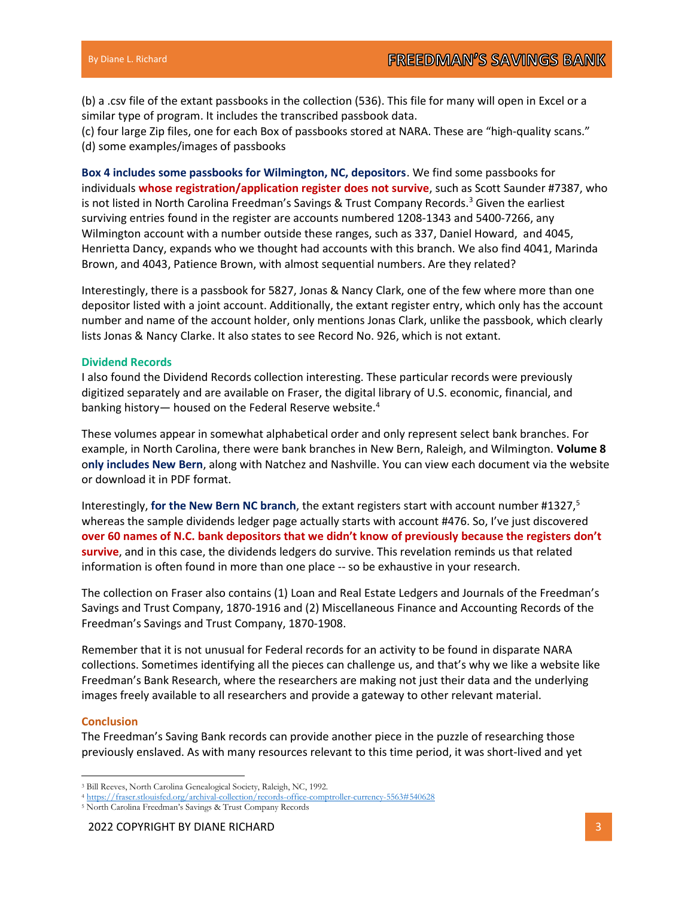(b) a .csv file of the extant passbooks in the collection (536). This file for many will open in Excel or a similar type of program. It includes the transcribed passbook data.

(c) four large Zip files, one for each Box of passbooks stored at NARA. These are "high-quality scans." (d) some examples/images of passbooks

Box 4 includes some passbooks for Wilmington, NC, depositors. We find some passbooks for individuals whose registration/application register does not survive, such as Scott Saunder #7387, who is not listed in North Carolina Freedman's Savings & Trust Company Records.<sup>3</sup> Given the earliest surviving entries found in the register are accounts numbered 1208-1343 and 5400-7266, any Wilmington account with a number outside these ranges, such as 337, Daniel Howard, and 4045, Henrietta Dancy, expands who we thought had accounts with this branch. We also find 4041, Marinda Brown, and 4043, Patience Brown, with almost sequential numbers. Are they related?

Interestingly, there is a passbook for 5827, Jonas & Nancy Clark, one of the few where more than one depositor listed with a joint account. Additionally, the extant register entry, which only has the account number and name of the account holder, only mentions Jonas Clark, unlike the passbook, which clearly lists Jonas & Nancy Clarke. It also states to see Record No. 926, which is not extant.

#### Dividend Records

I also found the Dividend Records collection interesting. These particular records were previously digitized separately and are available on Fraser, the digital library of U.S. economic, financial, and banking history— housed on the Federal Reserve website.<sup>4</sup>

These volumes appear in somewhat alphabetical order and only represent select bank branches. For example, in North Carolina, there were bank branches in New Bern, Raleigh, and Wilmington. Volume 8 only includes New Bern, along with Natchez and Nashville. You can view each document via the website or download it in PDF format.

Interestingly, for the New Bern NC branch, the extant registers start with account number #1327,<sup>5</sup> whereas the sample dividends ledger page actually starts with account #476. So, I've just discovered over 60 names of N.C. bank depositors that we didn't know of previously because the registers don't survive, and in this case, the dividends ledgers do survive. This revelation reminds us that related information is often found in more than one place -- so be exhaustive in your research.

The collection on Fraser also contains (1) Loan and Real Estate Ledgers and Journals of the Freedman's Savings and Trust Company, 1870-1916 and (2) Miscellaneous Finance and Accounting Records of the Freedman's Savings and Trust Company, 1870-1908.

Remember that it is not unusual for Federal records for an activity to be found in disparate NARA collections. Sometimes identifying all the pieces can challenge us, and that's why we like a website like Freedman's Bank Research, where the researchers are making not just their data and the underlying images freely available to all researchers and provide a gateway to other relevant material.

## **Conclusion**

The Freedman's Saving Bank records can provide another piece in the puzzle of researching those previously enslaved. As with many resources relevant to this time period, it was short-lived and yet

<sup>3</sup> Bill Reeves, North Carolina Genealogical Society, Raleigh, NC, 1992.

<sup>4</sup> https://fraser.stlouisfed.org/archival-collection/records-office-comptroller-currency-5563#540628

<sup>5</sup> North Carolina Freedman's Savings & Trust Company Records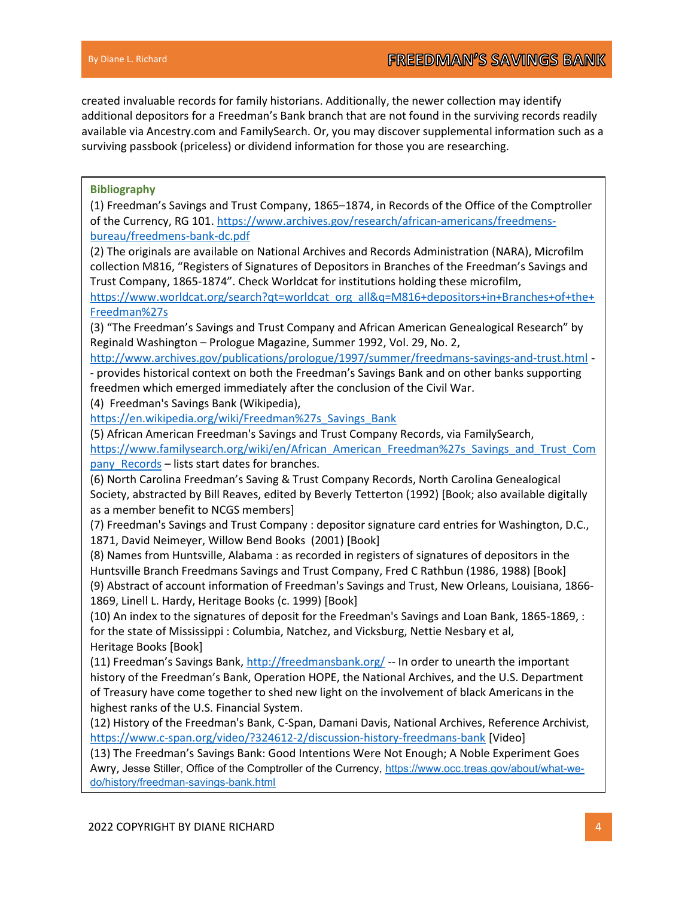created invaluable records for family historians. Additionally, the newer collection may identify additional depositors for a Freedman's Bank branch that are not found in the surviving records readily available via Ancestry.com and FamilySearch. Or, you may discover supplemental information such as a surviving passbook (priceless) or dividend information for those you are researching.

# Bibliography

(1) Freedman's Savings and Trust Company, 1865–1874, in Records of the Office of the Comptroller of the Currency, RG 101. https://www.archives.gov/research/african-americans/freedmensbureau/freedmens-bank-dc.pdf

(2) The originals are available on National Archives and Records Administration (NARA), Microfilm collection M816, "Registers of Signatures of Depositors in Branches of the Freedman's Savings and Trust Company, 1865-1874". Check Worldcat for institutions holding these microfilm,

https://www.worldcat.org/search?qt=worldcat\_org\_all&q=M816+depositors+in+Branches+of+the+ Freedman%27s

(3) "The Freedman's Savings and Trust Company and African American Genealogical Research" by Reginald Washington – Prologue Magazine, Summer 1992, Vol. 29, No. 2,

http://www.archives.gov/publications/prologue/1997/summer/freedmans-savings-and-trust.html - - provides historical context on both the Freedman's Savings Bank and on other banks supporting freedmen which emerged immediately after the conclusion of the Civil War.

(4) Freedman's Savings Bank (Wikipedia),

https://en.wikipedia.org/wiki/Freedman%27s\_Savings\_Bank

(5) African American Freedman's Savings and Trust Company Records, via FamilySearch,

https://www.familysearch.org/wiki/en/African\_American\_Freedman%27s\_Savings\_and\_Trust\_Com pany Records – lists start dates for branches.

(6) North Carolina Freedman's Saving & Trust Company Records, North Carolina Genealogical Society, abstracted by Bill Reaves, edited by Beverly Tetterton (1992) [Book; also available digitally as a member benefit to NCGS members]

(7) Freedman's Savings and Trust Company : depositor signature card entries for Washington, D.C., 1871, David Neimeyer, Willow Bend Books (2001) [Book]

(8) Names from Huntsville, Alabama : as recorded in registers of signatures of depositors in the Huntsville Branch Freedmans Savings and Trust Company, Fred C Rathbun (1986, 1988) [Book] (9) Abstract of account information of Freedman's Savings and Trust, New Orleans, Louisiana, 1866- 1869, Linell L. Hardy, Heritage Books (c. 1999) [Book]

(10) An index to the signatures of deposit for the Freedman's Savings and Loan Bank, 1865-1869, : for the state of Mississippi : Columbia, Natchez, and Vicksburg, Nettie Nesbary et al, Heritage Books [Book]

(11) Freedman's Savings Bank, http://freedmansbank.org/ -- In order to unearth the important history of the Freedman's Bank, Operation HOPE, the National Archives, and the U.S. Department of Treasury have come together to shed new light on the involvement of black Americans in the highest ranks of the U.S. Financial System.

(12) History of the Freedman's Bank, C-Span, Damani Davis, National Archives, Reference Archivist, https://www.c-span.org/video/?324612-2/discussion-history-freedmans-bank [Video]

(13) The Freedman's Savings Bank: Good Intentions Were Not Enough; A Noble Experiment Goes Awry, Jesse Stiller, Office of the Comptroller of the Currency, https://www.occ.treas.gov/about/what-wedo/history/freedman-savings-bank.html